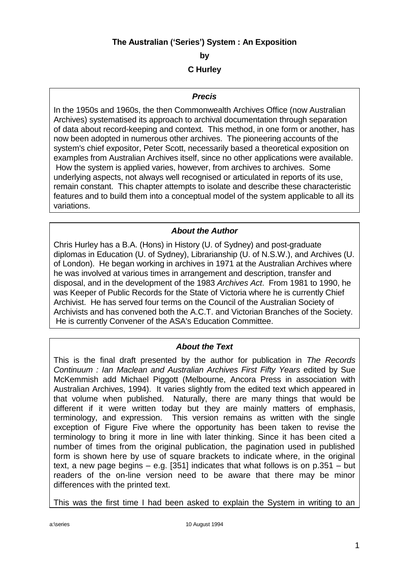## **The Australian ('Series') System : An Exposition**

**by**

**C Hurley**

### *Precis*

In the 1950s and 1960s, the then Commonwealth Archives Office (now Australian Archives) systematised its approach to archival documentation through separation of data about record-keeping and context. This method, in one form or another, has now been adopted in numerous other archives. The pioneering accounts of the system's chief expositor, Peter Scott, necessarily based a theoretical exposition on examples from Australian Archives itself, since no other applications were available. How the system is applied varies, however, from archives to archives. Some underlying aspects, not always well recognised or articulated in reports of its use, remain constant. This chapter attempts to isolate and describe these characteristic features and to build them into a conceptual model of the system applicable to all its variations.

## *About the Author*

Chris Hurley has a B.A. (Hons) in History (U. of Sydney) and post-graduate diplomas in Education (U. of Sydney), Librarianship (U. of N.S.W.), and Archives (U. of London). He began working in archives in 1971 at the Australian Archives where he was involved at various times in arrangement and description, transfer and disposal, and in the development of the 1983 *Archives Act*. From 1981 to 1990, he was Keeper of Public Records for the State of Victoria where he is currently Chief Archivist. He has served four terms on the Council of the Australian Society of Archivists and has convened both the A.C.T. and Victorian Branches of the Society. He is currently Convener of the ASA's Education Committee.

## *About the Text*

This is the final draft presented by the author for publication in *The Records Continuum : Ian Maclean and Australian Archives First Fifty Years* edited by Sue McKemmish add Michael Piggott (Melbourne, Ancora Press in association with Australian Archives, 1994). It varies slightly from the edited text which appeared in that volume when published. Naturally, there are many things that would be different if it were written today but they are mainly matters of emphasis, terminology, and expression. This version remains as written with the single exception of Figure Five where the opportunity has been taken to revise the terminology to bring it more in line with later thinking. Since it has been cited a number of times from the original publication, the pagination used in published form is shown here by use of square brackets to indicate where, in the original text, a new page begins – e.g. [351] indicates that what follows is on p.351 – but readers of the on-line version need to be aware that there may be minor differences with the printed text.

This was the first time I had been asked to explain the System in writing to an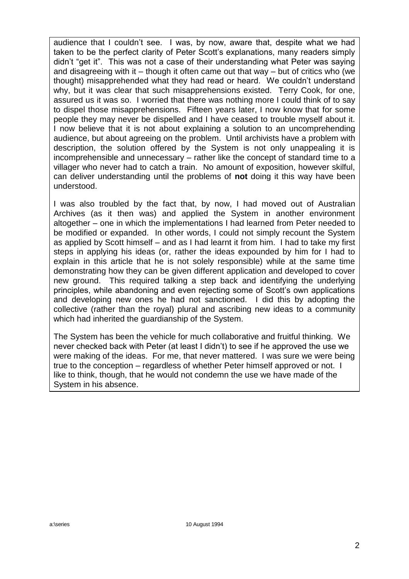audience that I couldn't see. I was, by now, aware that, despite what we had taken to be the perfect clarity of Peter Scott's explanations, many readers simply didn't "get it". This was not a case of their understanding what Peter was saying and disagreeing with it – though it often came out that way – but of critics who (we thought) misapprehended what they had read or heard. We couldn't understand why, but it was clear that such misapprehensions existed. Terry Cook, for one, assured us it was so. I worried that there was nothing more I could think of to say to dispel those misapprehensions. Fifteen years later, I now know that for some people they may never be dispelled and I have ceased to trouble myself about it. I now believe that it is not about explaining a solution to an uncomprehending audience, but about agreeing on the problem. Until archivists have a problem with description, the solution offered by the System is not only unappealing it is incomprehensible and unnecessary – rather like the concept of standard time to a villager who never had to catch a train. No amount of exposition, however skilful, can deliver understanding until the problems of **not** doing it this way have been understood.

I was also troubled by the fact that, by now, I had moved out of Australian Archives (as it then was) and applied the System in another environment altogether – one in which the implementations I had learned from Peter needed to be modified or expanded. In other words, I could not simply recount the System as applied by Scott himself – and as I had learnt it from him. I had to take my first steps in applying his ideas (or, rather the ideas expounded by him for I had to explain in this article that he is not solely responsible) while at the same time demonstrating how they can be given different application and developed to cover new ground. This required talking a step back and identifying the underlying principles, while abandoning and even rejecting some of Scott's own applications and developing new ones he had not sanctioned. I did this by adopting the collective (rather than the royal) plural and ascribing new ideas to a community which had inherited the guardianship of the System.

The System has been the vehicle for much collaborative and fruitful thinking. We never checked back with Peter (at least I didn't) to see if he approved the use we were making of the ideas. For me, that never mattered. I was sure we were being true to the conception – regardless of whether Peter himself approved or not. I like to think, though, that he would not condemn the use we have made of the System in his absence.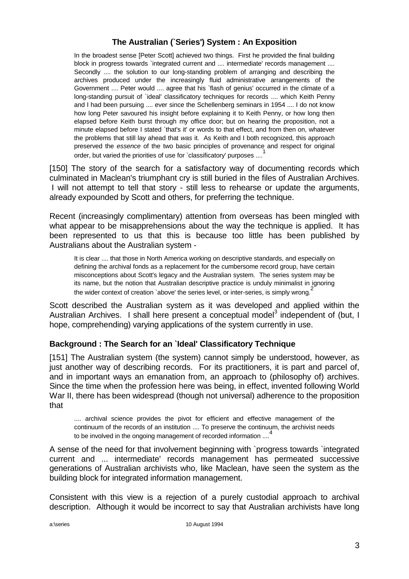# **The Australian (`Series') System : An Exposition**

In the broadest sense [Peter Scott] achieved two things. First he provided the final building block in progress towards `integrated current and .... intermediate' records management .... Secondly .... the solution to our long-standing problem of arranging and describing the archives produced under the increasingly fluid administrative arrangements of the Government .... Peter would .... agree that his `flash of genius' occurred in the climate of a long-standing pursuit of `ideal' classificatory techniques for records .... which Keith Penny and I had been pursuing .... ever since the Schellenberg seminars in 1954 .... I do not know how long Peter savoured his insight before explaining it to Keith Penny, or how long then elapsed before Keith burst through my office door; but on hearing the proposition, not a minute elapsed before I stated `that's it' or words to that effect, and from then on, whatever the problems that still lay ahead that *was* it. As Keith and I both recognized, this approach preserved the *essence* of the two basic principles of provenance and respect for original order, but varied the priorities of use for `classificatory' purposes ....

[150] The story of the search for a satisfactory way of documenting records which culminated in Maclean's triumphant cry is still buried in the files of Australian Archives. I will not attempt to tell that story - still less to rehearse or update the arguments, already expounded by Scott and others, for preferring the technique.

Recent (increasingly complimentary) attention from overseas has been mingled with what appear to be misapprehensions about the way the technique is applied. It has been represented to us that this is because too little has been published by Australians about the Australian system -

It is clear .... that those in North America working on descriptive standards, and especially on defining the archival fonds as a replacement for the cumbersome record group, have certain misconceptions about Scott's legacy and the Australian system. The series system may be its name, but the notion that Australian descriptive practice is unduly minimalist in ignoring the wider context of creation `above' the series level, or inter-series, is simply wrong.

Scott described the Australian system as it was developed and applied within the Australian Archives. I shall here present a conceptual model<sup>3</sup> independent of (but, I hope, comprehending) varying applications of the system currently in use.

## **Background : The Search for an `Ideal' Classificatory Technique**

[151] The Australian system (the system) cannot simply be understood, however, as just another way of describing records. For its practitioners, it is part and parcel of, and in important ways an emanation from, an approach to (philosophy of) archives. Since the time when the profession here was being, in effect, invented following World War II, there has been widespread (though not universal) adherence to the proposition that

.... archival science provides the pivot for efficient and effective management of the continuum of the records of an institution .... To preserve the continuum, the archivist needs to be involved in the ongoing management of recorded information ....<sup>4</sup>

A sense of the need for that involvement beginning with `progress towards `integrated current and ... intermediate' records management has permeated successive generations of Australian archivists who, like Maclean, have seen the system as the building block for integrated information management.

Consistent with this view is a rejection of a purely custodial approach to archival description. Although it would be incorrect to say that Australian archivists have long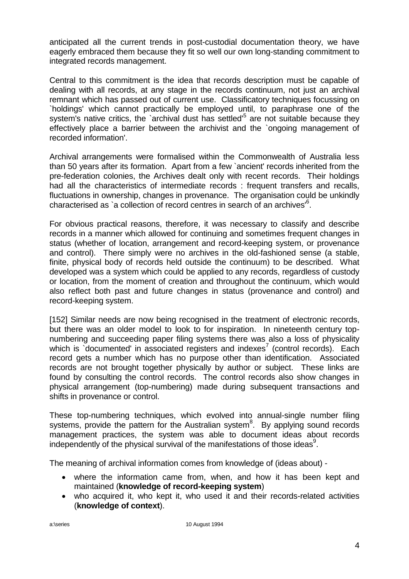anticipated all the current trends in post-custodial documentation theory, we have eagerly embraced them because they fit so well our own long-standing commitment to integrated records management.

Central to this commitment is the idea that records description must be capable of dealing with all records, at any stage in the records continuum, not just an archival remnant which has passed out of current use. Classificatory techniques focussing on `holdings' which cannot practically be employed until, to paraphrase one of the system's native critics, the `archival dust has settled'<sup>5</sup> are not suitable because they effectively place a barrier between the archivist and the `ongoing management of recorded information'.

Archival arrangements were formalised within the Commonwealth of Australia less than 50 years after its formation. Apart from a few `ancient' records inherited from the pre-federation colonies, the Archives dealt only with recent records. Their holdings had all the characteristics of intermediate records : frequent transfers and recalls, fluctuations in ownership, changes in provenance. The organisation could be unkindly characterised as `a collection of record centres in search of an archives'<sup>6</sup>.

For obvious practical reasons, therefore, it was necessary to classify and describe records in a manner which allowed for continuing and sometimes frequent changes in status (whether of location, arrangement and record-keeping system, or provenance and control). There simply were no archives in the old-fashioned sense (a stable, finite, physical body of records held outside the continuum) to be described. What developed was a system which could be applied to any records, regardless of custody or location, from the moment of creation and throughout the continuum, which would also reflect both past and future changes in status (provenance and control) and record-keeping system.

[152] Similar needs are now being recognised in the treatment of electronic records, but there was an older model to look to for inspiration. In nineteenth century topnumbering and succeeding paper filing systems there was also a loss of physicality which is documented in associated registers and indexes<sup>7</sup> (control records). Each record gets a number which has no purpose other than identification. Associated records are not brought together physically by author or subject. These links are found by consulting the control records. The control records also show changes in physical arrangement (top-numbering) made during subsequent transactions and shifts in provenance or control.

These top-numbering techniques, which evolved into annual-single number filing systems, provide the pattern for the Australian system<sup>8</sup>. By applying sound records management practices, the system was able to document ideas about records independently of the physical survival of the manifestations of those ideas $9$ .

The meaning of archival information comes from knowledge of (ideas about) -

- where the information came from, when, and how it has been kept and maintained (**knowledge of record-keeping system**)
- who acquired it, who kept it, who used it and their records-related activities (**knowledge of context**).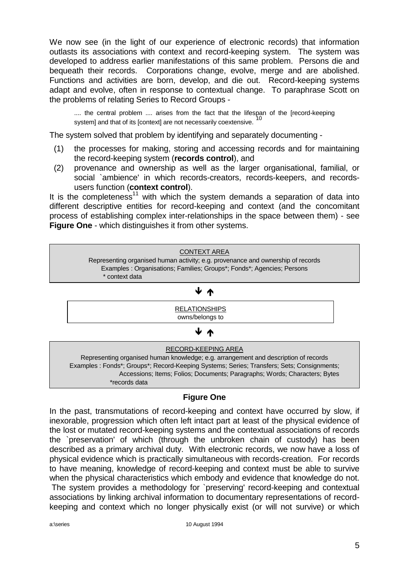We now see (in the light of our experience of electronic records) that information outlasts its associations with context and record-keeping system. The system was developed to address earlier manifestations of this same problem. Persons die and bequeath their records. Corporations change, evolve, merge and are abolished. Functions and activities are born, develop, and die out. Record-keeping systems adapt and evolve, often in response to contextual change. To paraphrase Scott on the problems of relating Series to Record Groups -

.... the central problem .... arises from the fact that the lifespan of the [record-keeping system] and that of its [context] are not necessarily coextensive.

The system solved that problem by identifying and separately documenting -

- (1) the processes for making, storing and accessing records and for maintaining the record-keeping system (**records control**), and
- (2) provenance and ownership as well as the larger organisational, familial, or social `ambience' in which records-creators, records-keepers, and recordsusers function (**context control**).

It is the completeness<sup>11</sup> with which the system demands a separation of data into different descriptive entities for record-keeping and context (and the concomitant process of establishing complex inter-relationships in the space between them) - see **Figure One** - which distinguishes it from other systems.



## **Figure One**

In the past, transmutations of record-keeping and context have occurred by slow, if inexorable, progression which often left intact part at least of the physical evidence of the lost or mutated record-keeping systems and the contextual associations of records the `preservation' of which (through the unbroken chain of custody) has been described as a primary archival duty. With electronic records, we now have a loss of physical evidence which is practically simultaneous with records-creation. For records to have meaning, knowledge of record-keeping and context must be able to survive when the physical characteristics which embody and evidence that knowledge do not.

The system provides a methodology for `preserving' record-keeping and contextual associations by linking archival information to documentary representations of recordkeeping and context which no longer physically exist (or will not survive) or which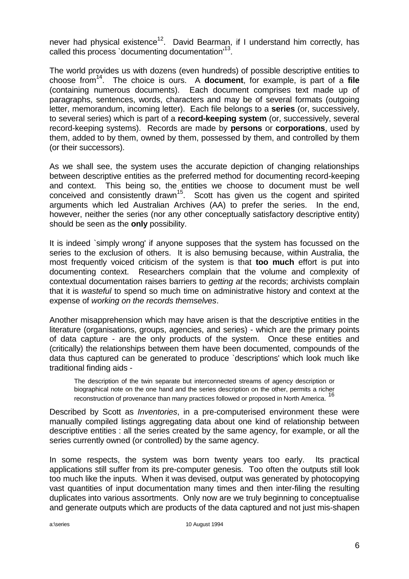never had physical existence<sup>12</sup>. David Bearman, if I understand him correctly, has called this process `documenting documentation'<sup>13</sup>.

The world provides us with dozens (even hundreds) of possible descriptive entities to choose from<sup>14</sup>. The choice is ours. A **document**, for example, is part of a **file** (containing numerous documents). Each document comprises text made up of paragraphs, sentences, words, characters and may be of several formats (outgoing letter, memorandum, incoming letter). Each file belongs to a **series** (or, successively, to several series) which is part of a **record-keeping system** (or, successively, several record-keeping systems). Records are made by **persons** or **corporations**, used by them, added to by them, owned by them, possessed by them, and controlled by them (or their successors).

As we shall see, the system uses the accurate depiction of changing relationships between descriptive entities as the preferred method for documenting record-keeping and context. This being so, the entities we choose to document must be well conceived and consistently drawn<sup>15</sup>. Scott has given us the cogent and spirited arguments which led Australian Archives (AA) to prefer the series. In the end, however, neither the series (nor any other conceptually satisfactory descriptive entity) should be seen as the **only** possibility.

It is indeed `simply wrong' if anyone supposes that the system has focussed on the series to the exclusion of others. It is also bemusing because, within Australia, the most frequently voiced criticism of the system is that **too much** effort is put into documenting context. Researchers complain that the volume and complexity of contextual documentation raises barriers to *getting at* the records; archivists complain that it is *wasteful* to spend so much time on administrative history and context at the expense of *working on the records themselves*.

Another misapprehension which may have arisen is that the descriptive entities in the literature (organisations, groups, agencies, and series) - which are the primary points of data capture - are the only products of the system. Once these entities and (critically) the relationships between them have been documented, compounds of the data thus captured can be generated to produce `descriptions' which look much like traditional finding aids -

The description of the twin separate but interconnected streams of agency description or biographical note on the one hand and the series description on the other, permits a richer reconstruction of provenance than many practices followed or proposed in North America.<sup>16</sup>

Described by Scott as *Inventories*, in a pre-computerised environment these were manually compiled listings aggregating data about one kind of relationship between descriptive entities : all the series created by the same agency, for example, or all the series currently owned (or controlled) by the same agency.

In some respects, the system was born twenty years too early. Its practical applications still suffer from its pre-computer genesis. Too often the outputs still look too much like the inputs. When it was devised, output was generated by photocopying vast quantities of input documentation many times and then inter-filing the resulting duplicates into various assortments. Only now are we truly beginning to conceptualise and generate outputs which are products of the data captured and not just mis-shapen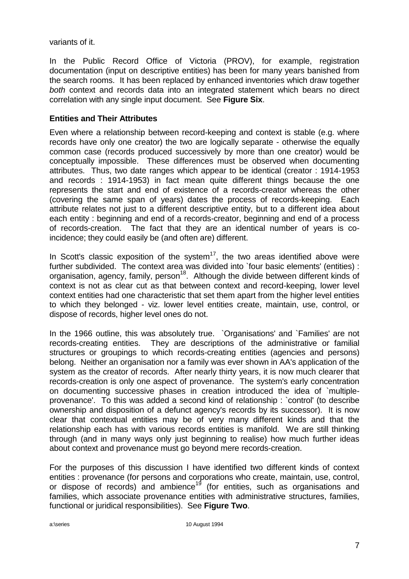variants of it.

In the Public Record Office of Victoria (PROV), for example, registration documentation (input on descriptive entities) has been for many years banished from the search rooms. It has been replaced by enhanced inventories which draw together *both* context and records data into an integrated statement which bears no direct correlation with any single input document. See **Figure Six**.

### **Entities and Their Attributes**

Even where a relationship between record-keeping and context is stable (e.g. where records have only one creator) the two are logically separate - otherwise the equally common case (records produced successively by more than one creator) would be conceptually impossible. These differences must be observed when documenting attributes. Thus, two date ranges which appear to be identical (creator : 1914-1953 and records : 1914-1953) in fact mean quite different things because the one represents the start and end of existence of a records-creator whereas the other (covering the same span of years) dates the process of records-keeping. Each attribute relates not just to a different descriptive entity, but to a different idea about each entity : beginning and end of a records-creator, beginning and end of a process of records-creation. The fact that they are an identical number of years is coincidence; they could easily be (and often are) different.

In Scott's classic exposition of the system $17$ , the two areas identified above were further subdivided. The context area was divided into `four basic elements' (entities) : organisation, agency, family, person<sup>18</sup>. Although the divide between different kinds of context is not as clear cut as that between context and record-keeping, lower level context entities had one characteristic that set them apart from the higher level entities to which they belonged - viz. lower level entities create, maintain, use, control, or dispose of records, higher level ones do not.

In the 1966 outline, this was absolutely true. `Organisations' and `Families' are not records-creating entities. They are descriptions of the administrative or familial structures or groupings to which records-creating entities (agencies and persons) belong. Neither an organisation nor a family was ever shown in AA's application of the system as the creator of records. After nearly thirty years, it is now much clearer that records-creation is only one aspect of provenance. The system's early concentration on documenting successive phases in creation introduced the idea of `multipleprovenance'. To this was added a second kind of relationship : `control' (to describe ownership and disposition of a defunct agency's records by its successor). It is now clear that contextual entities may be of very many different kinds and that the relationship each has with various records entities is manifold. We are still thinking through (and in many ways only just beginning to realise) how much further ideas about context and provenance must go beyond mere records-creation.

For the purposes of this discussion I have identified two different kinds of context entities : provenance (for persons and corporations who create, maintain, use, control, or dispose of records) and ambience<sup>19</sup> (for entities, such as organisations and families, which associate provenance entities with administrative structures, families, functional or juridical responsibilities). See **Figure Two**.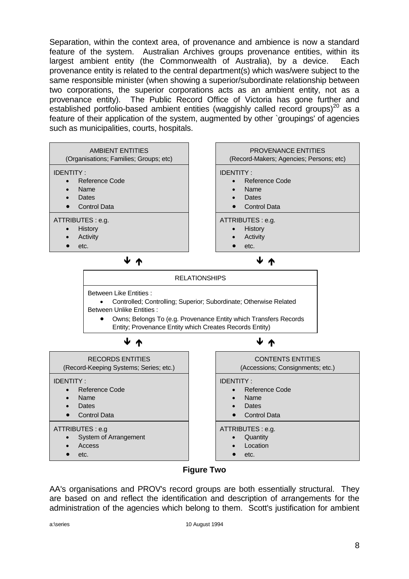Separation, within the context area, of provenance and ambience is now a standard feature of the system. Australian Archives groups provenance entities, within its largest ambient entity (the Commonwealth of Australia), by a device. Each provenance entity is related to the central department(s) which was/were subject to the same responsible minister (when showing a superior/subordinate relationship between two corporations, the superior corporations acts as an ambient entity, not as a provenance entity). The Public Record Office of Victoria has gone further and established portfolio-based ambient entities (waggishly called record groups)<sup>20</sup> as a feature of their application of the system, augmented by other `groupings' of agencies such as municipalities, courts, hospitals.



### **Figure Two**

AA's organisations and PROV's record groups are both essentially structural. They are based on and reflect the identification and description of arrangements for the administration of the agencies which belong to them. Scott's justification for ambient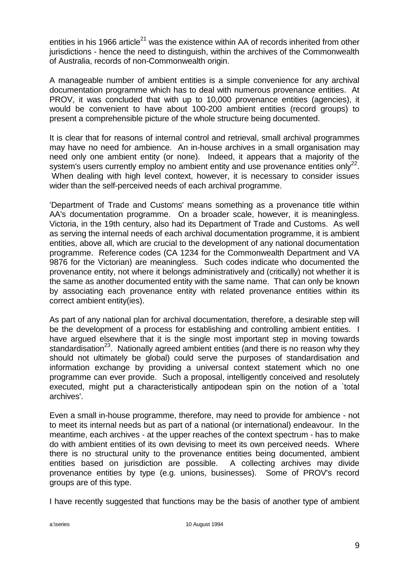entities in his 1966 article<sup>21</sup> was the existence within AA of records inherited from other jurisdictions - hence the need to distinguish, within the archives of the Commonwealth of Australia, records of non-Commonwealth origin.

A manageable number of ambient entities is a simple convenience for any archival documentation programme which has to deal with numerous provenance entities. At PROV, it was concluded that with up to 10,000 provenance entities (agencies), it would be convenient to have about 100-200 ambient entities (record groups) to present a comprehensible picture of the whole structure being documented.

It is clear that for reasons of internal control and retrieval, small archival programmes may have no need for ambience. An in-house archives in a small organisation may need only one ambient entity (or none). Indeed, it appears that a majority of the system's users currently employ no ambient entity and use provenance entities only<sup>22</sup>. When dealing with high level context, however, it is necessary to consider issues wider than the self-perceived needs of each archival programme.

'Department of Trade and Customs' means something as a provenance title within AA's documentation programme. On a broader scale, however, it is meaningless. Victoria, in the 19th century, also had its Department of Trade and Customs. As well as serving the internal needs of each archival documentation programme, it is ambient entities, above all, which are crucial to the development of any national documentation programme. Reference codes (CA 1234 for the Commonwealth Department and VA 9876 for the Victorian) are meaningless. Such codes indicate who documented the provenance entity, not where it belongs administratively and (critically) not whether it is the same as another documented entity with the same name. That can only be known by associating each provenance entity with related provenance entities within its correct ambient entity(ies).

As part of any national plan for archival documentation, therefore, a desirable step will be the development of a process for establishing and controlling ambient entities. I have argued elsewhere that it is the single most important step in moving towards standardisation<sup>23</sup>. Nationally agreed ambient entities (and there is no reason why they should not ultimately be global) could serve the purposes of standardisation and information exchange by providing a universal context statement which no one programme can ever provide. Such a proposal, intelligently conceived and resolutely executed, might put a characteristically antipodean spin on the notion of a `total archives'.

Even a small in-house programme, therefore, may need to provide for ambience - not to meet its internal needs but as part of a national (or international) endeavour. In the meantime, each archives - at the upper reaches of the context spectrum - has to make do with ambient entities of its own devising to meet its own perceived needs. Where there is no structural unity to the provenance entities being documented, ambient entities based on jurisdiction are possible. A collecting archives may divide provenance entities by type (e.g. unions, businesses). Some of PROV's record groups are of this type.

I have recently suggested that functions may be the basis of another type of ambient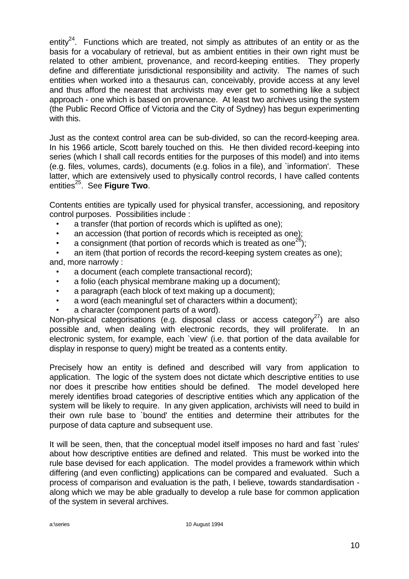entity<sup>24</sup>. Functions which are treated, not simply as attributes of an entity or as the basis for a vocabulary of retrieval, but as ambient entities in their own right must be related to other ambient, provenance, and record-keeping entities. They properly define and differentiate jurisdictional responsibility and activity. The names of such entities when worked into a thesaurus can, conceivably, provide access at any level and thus afford the nearest that archivists may ever get to something like a subject approach - one which is based on provenance. At least two archives using the system (the Public Record Office of Victoria and the City of Sydney) has begun experimenting with this.

Just as the context control area can be sub-divided, so can the record-keeping area. In his 1966 article, Scott barely touched on this. He then divided record-keeping into series (which I shall call records entities for the purposes of this model) and into items (e.g. files, volumes, cards), documents (e.g. folios in a file), and `information'. These latter, which are extensively used to physically control records, I have called contents entities<sup>25</sup>. See **Figure Two**.

Contents entities are typically used for physical transfer, accessioning, and repository control purposes. Possibilities include :

- a transfer (that portion of records which is uplifted as one);
- an accession (that portion of records which is receipted as one);
- a consignment (that portion of records which is treated as one<sup>26</sup>);

an item (that portion of records the record-keeping system creates as one): and, more narrowly :

- a document (each complete transactional record);
- a folio (each physical membrane making up a document);
- a paragraph (each block of text making up a document);
- a word (each meaningful set of characters within a document):
- a character (component parts of a word).

Non-physical categorisations (e.g. disposal class or access category<sup>27</sup>) are also possible and, when dealing with electronic records, they will proliferate. In an electronic system, for example, each `view' (i.e. that portion of the data available for display in response to query) might be treated as a contents entity.

Precisely how an entity is defined and described will vary from application to application. The logic of the system does not dictate which descriptive entities to use nor does it prescribe how entities should be defined. The model developed here merely identifies broad categories of descriptive entities which any application of the system will be likely to require. In any given application, archivists will need to build in their own rule base to `bound' the entities and determine their attributes for the purpose of data capture and subsequent use.

It will be seen, then, that the conceptual model itself imposes no hard and fast `rules' about how descriptive entities are defined and related. This must be worked into the rule base devised for each application. The model provides a framework within which differing (and even conflicting) applications can be compared and evaluated. Such a process of comparison and evaluation is the path, I believe, towards standardisation along which we may be able gradually to develop a rule base for common application of the system in several archives.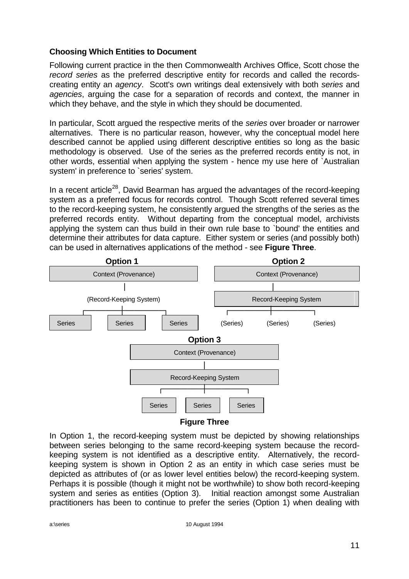### **Choosing Which Entities to Document**

Following current practice in the then Commonwealth Archives Office, Scott chose the *record series* as the preferred descriptive entity for records and called the recordscreating entity an *agency*. Scott's own writings deal extensively with both *series* and *agencies*, arguing the case for a separation of records and context, the manner in which they behave, and the style in which they should be documented.

In particular, Scott argued the respective merits of the *series* over broader or narrower alternatives. There is no particular reason, however, why the conceptual model here described cannot be applied using different descriptive entities so long as the basic methodology is observed. Use of the series as the preferred records entity is not, in other words, essential when applying the system - hence my use here of `Australian system' in preference to `series' system.

In a recent article<sup>28</sup>. David Bearman has argued the advantages of the record-keeping system as a preferred focus for records control. Though Scott referred several times to the record-keeping system, he consistently argued the strengths of the series as the preferred records entity. Without departing from the conceptual model, archivists applying the system can thus build in their own rule base to `bound' the entities and determine their attributes for data capture. Either system or series (and possibly both) can be used in alternatives applications of the method - see **Figure Three**.



In Option 1, the record-keeping system must be depicted by showing relationships between series belonging to the same record-keeping system because the recordkeeping system is not identified as a descriptive entity. Alternatively, the recordkeeping system is shown in Option 2 as an entity in which case series must be depicted as attributes of (or as lower level entities below) the record-keeping system. Perhaps it is possible (though it might not be worthwhile) to show both record-keeping system and series as entities (Option 3). Initial reaction amongst some Australian practitioners has been to continue to prefer the series (Option 1) when dealing with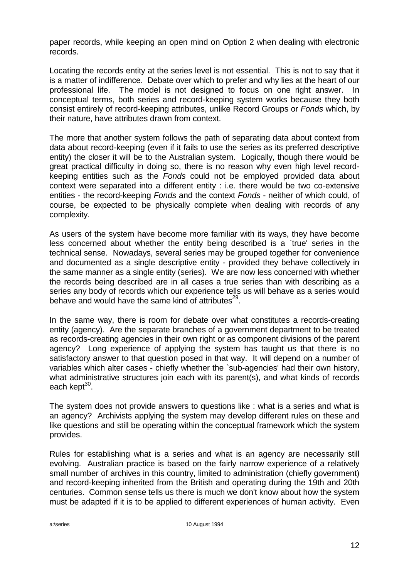paper records, while keeping an open mind on Option 2 when dealing with electronic records.

Locating the records entity at the series level is not essential. This is not to say that it is a matter of indifference. Debate over which to prefer and why lies at the heart of our professional life. The model is not designed to focus on one right answer. In conceptual terms, both series and record-keeping system works because they both consist entirely of record-keeping attributes, unlike Record Groups or *Fonds* which, by their nature, have attributes drawn from context.

The more that another system follows the path of separating data about context from data about record-keeping (even if it fails to use the series as its preferred descriptive entity) the closer it will be to the Australian system. Logically, though there would be great practical difficulty in doing so, there is no reason why even high level recordkeeping entities such as the *Fonds* could not be employed provided data about context were separated into a different entity : i.e. there would be two co-extensive entities - the record-keeping *Fonds* and the context *Fonds* - neither of which could, of course, be expected to be physically complete when dealing with records of any complexity.

As users of the system have become more familiar with its ways, they have become less concerned about whether the entity being described is a `true' series in the technical sense. Nowadays, several series may be grouped together for convenience and documented as a single descriptive entity - provided they behave collectively in the same manner as a single entity (series). We are now less concerned with whether the records being described are in all cases a true series than with describing as a series any body of records which our experience tells us will behave as a series would behave and would have the same kind of attributes<sup>29</sup>.

In the same way, there is room for debate over what constitutes a records-creating entity (agency). Are the separate branches of a government department to be treated as records-creating agencies in their own right or as component divisions of the parent agency? Long experience of applying the system has taught us that there is no satisfactory answer to that question posed in that way. It will depend on a number of variables which alter cases - chiefly whether the `sub-agencies' had their own history, what administrative structures join each with its parent(s), and what kinds of records each kept<sup>30</sup>.

The system does not provide answers to questions like : what is a series and what is an agency? Archivists applying the system may develop different rules on these and like questions and still be operating within the conceptual framework which the system provides.

Rules for establishing what is a series and what is an agency are necessarily still evolving. Australian practice is based on the fairly narrow experience of a relatively small number of archives in this country, limited to administration (chiefly government) and record-keeping inherited from the British and operating during the 19th and 20th centuries. Common sense tells us there is much we don't know about how the system must be adapted if it is to be applied to different experiences of human activity. Even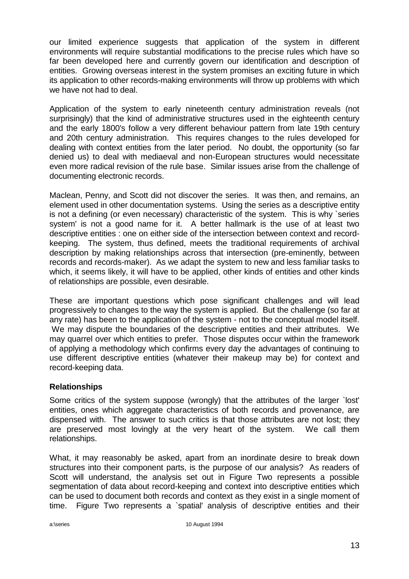our limited experience suggests that application of the system in different environments will require substantial modifications to the precise rules which have so far been developed here and currently govern our identification and description of entities. Growing overseas interest in the system promises an exciting future in which its application to other records-making environments will throw up problems with which we have not had to deal.

Application of the system to early nineteenth century administration reveals (not surprisingly) that the kind of administrative structures used in the eighteenth century and the early 1800's follow a very different behaviour pattern from late 19th century and 20th century administration. This requires changes to the rules developed for dealing with context entities from the later period. No doubt, the opportunity (so far denied us) to deal with mediaeval and non-European structures would necessitate even more radical revision of the rule base. Similar issues arise from the challenge of documenting electronic records.

Maclean, Penny, and Scott did not discover the series. It was then, and remains, an element used in other documentation systems. Using the series as a descriptive entity is not a defining (or even necessary) characteristic of the system. This is why `series system' is not a good name for it. A better hallmark is the use of at least two descriptive entities : one on either side of the intersection between context and recordkeeping. The system, thus defined, meets the traditional requirements of archival description by making relationships across that intersection (pre-eminently, between records and records-maker). As we adapt the system to new and less familiar tasks to which, it seems likely, it will have to be applied, other kinds of entities and other kinds of relationships are possible, even desirable.

These are important questions which pose significant challenges and will lead progressively to changes to the way the system is applied. But the challenge (so far at any rate) has been to the application of the system - not to the conceptual model itself. We may dispute the boundaries of the descriptive entities and their attributes. We may quarrel over which entities to prefer. Those disputes occur within the framework of applying a methodology which confirms every day the advantages of continuing to use different descriptive entities (whatever their makeup may be) for context and record-keeping data.

### **Relationships**

Some critics of the system suppose (wrongly) that the attributes of the larger `lost' entities, ones which aggregate characteristics of both records and provenance, are dispensed with. The answer to such critics is that those attributes are not lost; they are preserved most lovingly at the very heart of the system. We call them relationships.

What, it may reasonably be asked, apart from an inordinate desire to break down structures into their component parts, is the purpose of our analysis? As readers of Scott will understand, the analysis set out in Figure Two represents a possible segmentation of data about record-keeping and context into descriptive entities which can be used to document both records and context as they exist in a single moment of time. Figure Two represents a `spatial' analysis of descriptive entities and their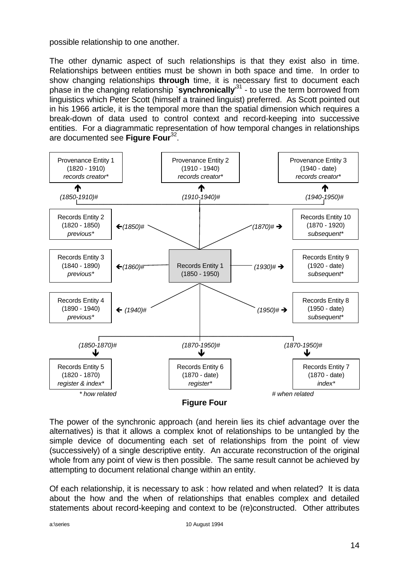possible relationship to one another.

The other dynamic aspect of such relationships is that they exist also in time. Relationships between entities must be shown in both space and time. In order to show changing relationships **through** time, it is necessary first to document each phase in the changing relationship `**synchronically**' 31 - to use the term borrowed from linguistics which Peter Scott (himself a trained linguist) preferred. As Scott pointed out in his 1966 article, it is the temporal more than the spatial dimension which requires a break-down of data used to control context and record-keeping into successive entities. For a diagrammatic representation of how temporal changes in relationships are documented see **Figure Four**<sup>32</sup> .



The power of the synchronic approach (and herein lies its chief advantage over the alternatives) is that it allows a complex knot of relationships to be untangled by the simple device of documenting each set of relationships from the point of view (successively) of a single descriptive entity. An accurate reconstruction of the original whole from any point of view is then possible. The same result cannot be achieved by attempting to document relational change within an entity.

Of each relationship, it is necessary to ask : how related and when related? It is data about the how and the when of relationships that enables complex and detailed statements about record-keeping and context to be (re)constructed. Other attributes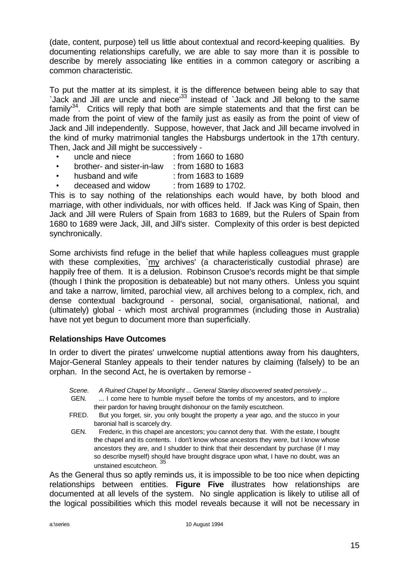(date, content, purpose) tell us little about contextual and record-keeping qualities. By documenting relationships carefully, we are able to say more than it is possible to describe by merely associating like entities in a common category or ascribing a common characteristic.

To put the matter at its simplest, it is the difference between being able to say that `Jack and Jill are uncle and niece'<sup>33</sup> instead of `Jack and Jill belong to the same family<sup>34</sup>. Critics will reply that both are simple statements and that the first can be made from the point of view of the family just as easily as from the point of view of Jack and Jill independently. Suppose, however, that Jack and Jill became involved in the kind of murky matrimonial tangles the Habsburgs undertook in the 17th century. Then, Jack and Jill might be successively -

- uncle and niece : from 1660 to 1680
- brother- and sister-in-law : from 1680 to 1683
- husband and wife : from 1683 to 1689
- deceased and widow : from 1689 to 1702.

This is to say nothing of the relationships each would have, by both blood and marriage, with other individuals, nor with offices held. If Jack was King of Spain, then Jack and Jill were Rulers of Spain from 1683 to 1689, but the Rulers of Spain from 1680 to 1689 were Jack, Jill, and Jill's sister. Complexity of this order is best depicted synchronically.

Some archivists find refuge in the belief that while hapless colleagues must grapple with these complexities, `my archives' (a characteristically custodial phrase) are happily free of them. It is a delusion. Robinson Crusoe's records might be that simple (though I think the proposition is debateable) but not many others. Unless you squint and take a narrow, limited, parochial view, all archives belong to a complex, rich, and dense contextual background - personal, social, organisational, national, and (ultimately) global - which most archival programmes (including those in Australia) have not yet begun to document more than superficially.

### **Relationships Have Outcomes**

In order to divert the pirates' unwelcome nuptial attentions away from his daughters, Major-General Stanley appeals to their tender natures by claiming (falsely) to be an orphan. In the second Act, he is overtaken by remorse -

- *Scene. A Ruined Chapel by Moonlight ... General Stanley discovered seated pensively ...*
- GEN. ... I come here to humble myself before the tombs of my ancestors, and to implore their pardon for having brought dishonour on the family escutcheon.
- FRED. But you forget, sir, you only bought the property a year ago, and the stucco in your baronial hall is scarcely dry.
- GEN. Frederic, in this chapel are ancestors; you cannot deny that. With the estate, I bought the chapel and its contents. I don't know whose ancestors they *were*, but I know whose ancestors they *are*, and I shudder to think that their descendant by purchase (if I may so describe myself) should have brought disgrace upon what, I have no doubt, was an unstained escutcheon. <sup>35</sup>

As the General thus so aptly reminds us, it is impossible to be too nice when depicting relationships between entities. **Figure Five** illustrates how relationships are documented at all levels of the system. No single application is likely to utilise all of the logical possibilities which this model reveals because it will not be necessary in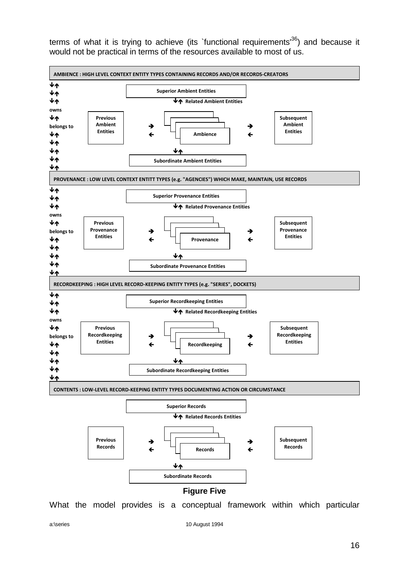terms of what it is trying to achieve (its `functional requirements<sup>36</sup>) and because it would not be practical in terms of the resources available to most of us.



a:\series 10 August 1994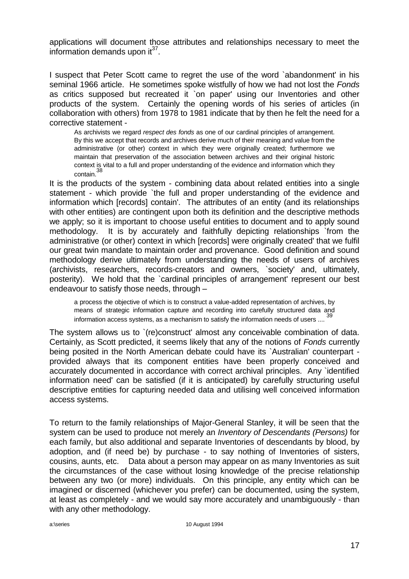applications will document those attributes and relationships necessary to meet the information demands upon  $it^{37}$ .

I suspect that Peter Scott came to regret the use of the word `abandonment' in his seminal 1966 article. He sometimes spoke wistfully of how we had not lost the *Fonds* as critics supposed but recreated it `on paper' using our Inventories and other products of the system. Certainly the opening words of his series of articles (in collaboration with others) from 1978 to 1981 indicate that by then he felt the need for a corrective statement -

As archivists we regard *respect des fonds* as one of our cardinal principles of arrangement. By this we accept that records and archives derive much of their meaning and value from the administrative (or other) context in which they were originally created; furthermore we maintain that preservation of the association between archives and their original historic context is vital to a full and proper understanding of the evidence and information which they contain.<sup>38</sup>

It is the products of the system - combining data about related entities into a single statement - which provide `the full and proper understanding of the evidence and information which [records] contain'. The attributes of an entity (and its relationships with other entities) are contingent upon both its definition and the descriptive methods we apply; so it is important to choose useful entities to document and to apply sound methodology. It is by accurately and faithfully depicting relationships `from the administrative (or other) context in which [records] were originally created' that we fulfil our great twin mandate to maintain order and provenance. Good definition and sound methodology derive ultimately from understanding the needs of users of archives (archivists, researchers, records-creators and owners, `society' and, ultimately, posterity). We hold that the `cardinal principles of arrangement' represent our best endeavour to satisfy those needs, through –

a process the objective of which is to construct a value-added representation of archives, by means of strategic information capture and recording into carefully structured data and information access systems, as a mechanism to satisfy the information needs of users .... <sup>39</sup>

The system allows us to `(re)construct' almost any conceivable combination of data. Certainly, as Scott predicted, it seems likely that any of the notions of *Fonds* currently being posited in the North American debate could have its `Australian' counterpart provided always that its component entities have been properly conceived and accurately documented in accordance with correct archival principles. Any `identified information need' can be satisfied (if it is anticipated) by carefully structuring useful descriptive entities for capturing needed data and utilising well conceived information access systems.

To return to the family relationships of Major-General Stanley, it will be seen that the system can be used to produce not merely an *Inventory of Descendants (Persons)* for each family, but also additional and separate Inventories of descendants by blood, by adoption, and (if need be) by purchase - to say nothing of Inventories of sisters, cousins, aunts, etc. Data about a person may appear on as many Inventories as suit the circumstances of the case without losing knowledge of the precise relationship between any two (or more) individuals. On this principle, any entity which can be imagined or discerned (whichever you prefer) can be documented, using the system, at least as completely - and we would say more accurately and unambiguously - than with any other methodology.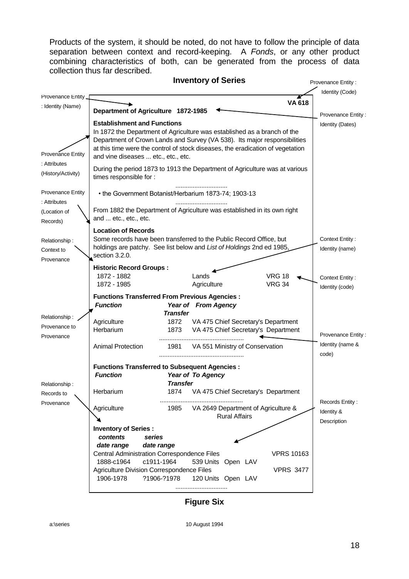Products of the system, it should be noted, do not have to follow the principle of data separation between context and record-keeping. A *Fonds*, or any other product combining characteristics of both, can be generated from the process of data collection thus far described.



**Figure Six**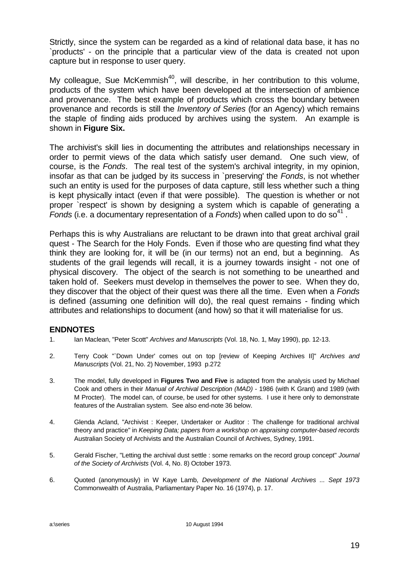Strictly, since the system can be regarded as a kind of relational data base, it has no `products' - on the principle that a particular view of the data is created not upon capture but in response to user query.

My colleague, Sue McKemmish<sup>40</sup>, will describe, in her contribution to this volume, products of the system which have been developed at the intersection of ambience and provenance. The best example of products which cross the boundary between provenance and records is still the *Inventory of Series* (for an Agency) which remains the staple of finding aids produced by archives using the system. An example is shown in **Figure Six.**

The archivist's skill lies in documenting the attributes and relationships necessary in order to permit views of the data which satisfy user demand. One such view, of course, is the *Fonds*. The real test of the system's archival integrity, in my opinion, insofar as that can be judged by its success in `preserving' the *Fonds*, is not whether such an entity is used for the purposes of data capture, still less whether such a thing is kept physically intact (even if that were possible). The question is whether or not proper `respect' is shown by designing a system which is capable of generating a Fonds (i.e. a documentary representation of a Fonds) when called upon to do so<sup>41</sup>.

Perhaps this is why Australians are reluctant to be drawn into that great archival grail quest - The Search for the Holy Fonds. Even if those who are questing find what they think they are looking for, it will be (in our terms) not an end, but a beginning. As students of the grail legends will recall, it is a journey towards insight - not one of physical discovery. The object of the search is not something to be unearthed and taken hold of. Seekers must develop in themselves the power to see. When they do, they discover that the object of their quest was there all the time. Even when a *Fonds* is defined (assuming one definition will do), the real quest remains - finding which attributes and relationships to document (and how) so that it will materialise for us.

### **ENDNOTES**

- 1. Ian Maclean, "Peter Scott" *Archives and Manuscripts* (Vol. 18, No. 1, May 1990), pp. 12-13.
- 2. Terry Cook "`Down Under' comes out on top [review of Keeping Archives II]" *Archives and Manuscripts* (Vol. 21, No. 2) November, 1993 p.272
- 3. The model, fully developed in **Figures Two and Five** is adapted from the analysis used by Michael Cook and others in their *Manual of Archival Description (MAD)* - 1986 (with K Grant) and 1989 (with M Procter). The model can, of course, be used for other systems. I use it here only to demonstrate features of the Australian system. See also end-note 36 below.
- 4. Glenda Acland, "Archivist : Keeper, Undertaker or Auditor : The challenge for traditional archival theory and practice" in *Keeping Data; papers from a workshop on appraising computer-based records* Australian Society of Archivists and the Australian Council of Archives, Sydney, 1991.
- 5. Gerald Fischer, "Letting the archival dust settle : some remarks on the record group concept" *Journal of the Society of Archivists* (Vol. 4, No. 8) October 1973.
- 6. Quoted (anonymously) in W Kaye Lamb, *Development of the National Archives ... Sept 1973* Commonwealth of Australia, Parliamentary Paper No. 16 (1974), p. 17.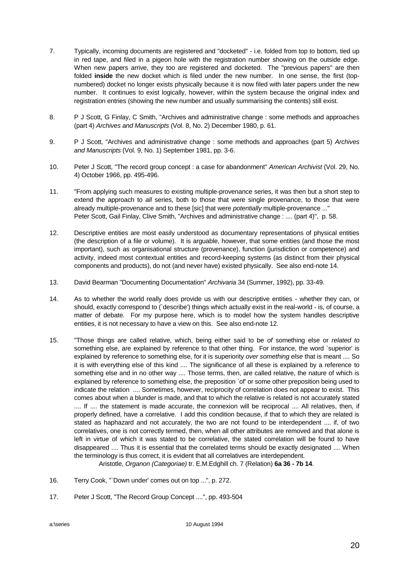- 7. Typically, incoming documents are registered and "docketed" i.e. folded from top to bottom, tied up in red tape, and filed in a pigeon hole with the registration number showing on the outside edge. When new papers arrive, they too are registered and docketed. The "previous papers" are then folded **inside** the new docket which is filed under the new number. In one sense, the first (topnumbered) docket no longer exists physically because it is now filed with later papers under the new number. It continues to exist logically, however, within the system because the original index and registration entries (showing the new number and usually summarising the contents) still exist.
- 8. P J Scott, G Finlay, C Smith, "Archives and administrative change : some methods and approaches (part 4) *Archives and Manuscripts* (Vol. 8, No. 2) December 1980, p. 61.
- 9. P J Scott, "Archives and administrative change : some methods and approaches (part 5) *Archives and Manuscripts* (Vol. 9, No. 1) September 1981, pp. 3-6.
- 10. Peter J Scott, "The record group concept : a case for abandonment" *American Archivist* (Vol. 29, No. 4) October 1966, pp. 495-496.
- 11. "From applying such measures to existing multiple-provenance series, it was then but a short step to extend the approach to *all* series, both to those that were single provenance, to those that were already multiple-provenance and to these [sic] that were *potentially* multiple-provenance ..." Peter Scott, Gail Finlay, Clive Smith, "Archives and administrative change : .... (part 4)", p. 58.
- 12. Descriptive entities are most easily understood as documentary representations of physical entities (the description of a file or volume). It is arguable, however, that some entities (and those the most important), such as organisational structure (provenance), function (jurisdiction or competence) and activity, indeed most contextual entities and record-keeping systems (as distinct from their physical components and products), do not (and never have) existed physically. See also end-note 14.
- 13. David Bearman "Documenting Documentation" *Archivaria* 34 (Summer, 1992), pp. 33-49.
- 14. As to whether the world really does provide us with our descriptive entities whether they can, or should, exactly correspond to (`describe') things which actually exist in the real-world - is, of course, a matter of debate. For my purpose here, which is to model how the system handles descriptive entities, it is not necessary to have a view on this. See also end-note 12.
- 15. "Those things are called relative, which, being either said to be *of* something else or *related to* something else, are explained by reference to that other thing. For instance, the word `superior' is explained by reference to something else, for it is superiority *over something else* that is meant .... So it is with everything else of this kind .... The significance of all these is explained by a reference to something else and in no other way .... Those terms, then, are called relative, the nature of which is explained by reference to something else, the preposition `of' or some other preposition being used to indicate the relation .... Sometimes, however, reciprocity of correlation does not appear to exist. This comes about when a blunder is made, and that to which the relative is related is not accurately stated .... If .... the statement is made accurate, the connexion will be reciprocal .... All relatives, then, if properly defined, have a correlative. I add this condition because, if that to which they are related is stated as haphazard and not accurately, the two are not found to be interdependent .... if, of two correlatives, one is not correctly termed, then, when all other attributes are removed and that alone is left in virtue of which it was stated to be correlative, the stated correlation will be found to have disappeared .... Thus it is essential that the correlated terms should be exactly designated .... When the terminology is thus correct, it is evident that all correlatives are interdependent.

Aristotle, *Organon (Categoriae)* tr. E.M.Edghill ch. 7 (Relation) **6a 36 - 7b 14**.

- 16. Terry Cook, "`Down under' comes out on top ...", p. 272.
- 17. Peter J Scott, "The Record Group Concept ....", pp. 493-504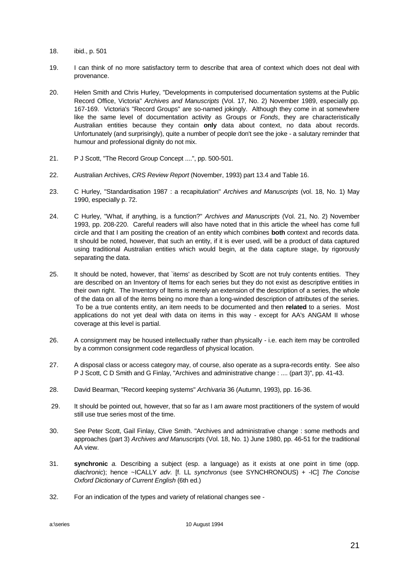- 18. ibid., p. 501
- 19. I can think of no more satisfactory term to describe that area of context which does not deal with provenance.
- 20. Helen Smith and Chris Hurley, "Developments in computerised documentation systems at the Public Record Office, Victoria" *Archives and Manuscripts* (Vol. 17, No. 2) November 1989, especially pp. 167-169. Victoria's "Record Groups" are so-named jokingly. Although they come in at somewhere like the same level of documentation activity as Groups or *Fonds*, they are characteristically Australian entities because they contain **only** data about context, no data about records. Unfortunately (and surprisingly), quite a number of people don't see the joke - a salutary reminder that humour and professional dignity do not mix.
- 21. P J Scott, "The Record Group Concept ....", pp. 500-501.
- 22. Australian Archives, *CRS Review Report* (November, 1993) part 13.4 and Table 16.
- 23. C Hurley, "Standardisation 1987 : a recapitulation" *Archives and Manuscripts* (vol. 18, No. 1) May 1990, especially p. 72.
- 24. C Hurley, "What, if anything, is a function?" *Archives and Manuscripts* (Vol. 21, No. 2) November 1993, pp. 208-220. Careful readers will also have noted that in this article the wheel has come full circle and that I am positing the creation of an entity which combines **both** context and records data. It should be noted, however, that such an entity, if it is ever used, will be a product of data captured using traditional Australian entities which would begin, at the data capture stage, by rigorously separating the data.
- 25. It should be noted, however, that `items' as described by Scott are not truly contents entities. They are described on an Inventory of Items for each series but they do not exist as descriptive entities in their own right. The Inventory of Items is merely an extension of the description of a series, the whole of the data on all of the items being no more than a long-winded description of attributes of the series. To be a true contents entity, an item needs to be documented and then **related** to a series. Most applications do not yet deal with data on items in this way - except for AA's ANGAM II whose coverage at this level is partial.
- 26. A consignment may be housed intellectually rather than physically i.e. each item may be controlled by a common consignment code regardless of physical location.
- 27. A disposal class or access category may, of course, also operate as a supra-records entity. See also P J Scott, C D Smith and G Finlay, "Archives and administrative change : .... (part 3)", pp. 41-43.
- 28. David Bearman, "Record keeping systems" *Archivaria* 36 (Autumn, 1993), pp. 16-36.
- 29. It should be pointed out, however, that so far as I am aware most practitioners of the system of would still use true series most of the time.
- 30. See Peter Scott, Gail Finlay, Clive Smith. "Archives and administrative change : some methods and approaches (part 3) *Archives and Manuscripts* (Vol. 18, No. 1) June 1980, pp. 46-51 for the traditional AA view.
- 31. **synchronic** *a.* Describing a subject (esp. a language) as it exists at one point in time (opp. *diachronic*); hence ~ICALLY *adv.* [f. LL *synchronus* (see SYNCHRONOUS) + -IC] *The Concise Oxford Dictionary of Current English* (6th ed.)
- 32. For an indication of the types and variety of relational changes see -